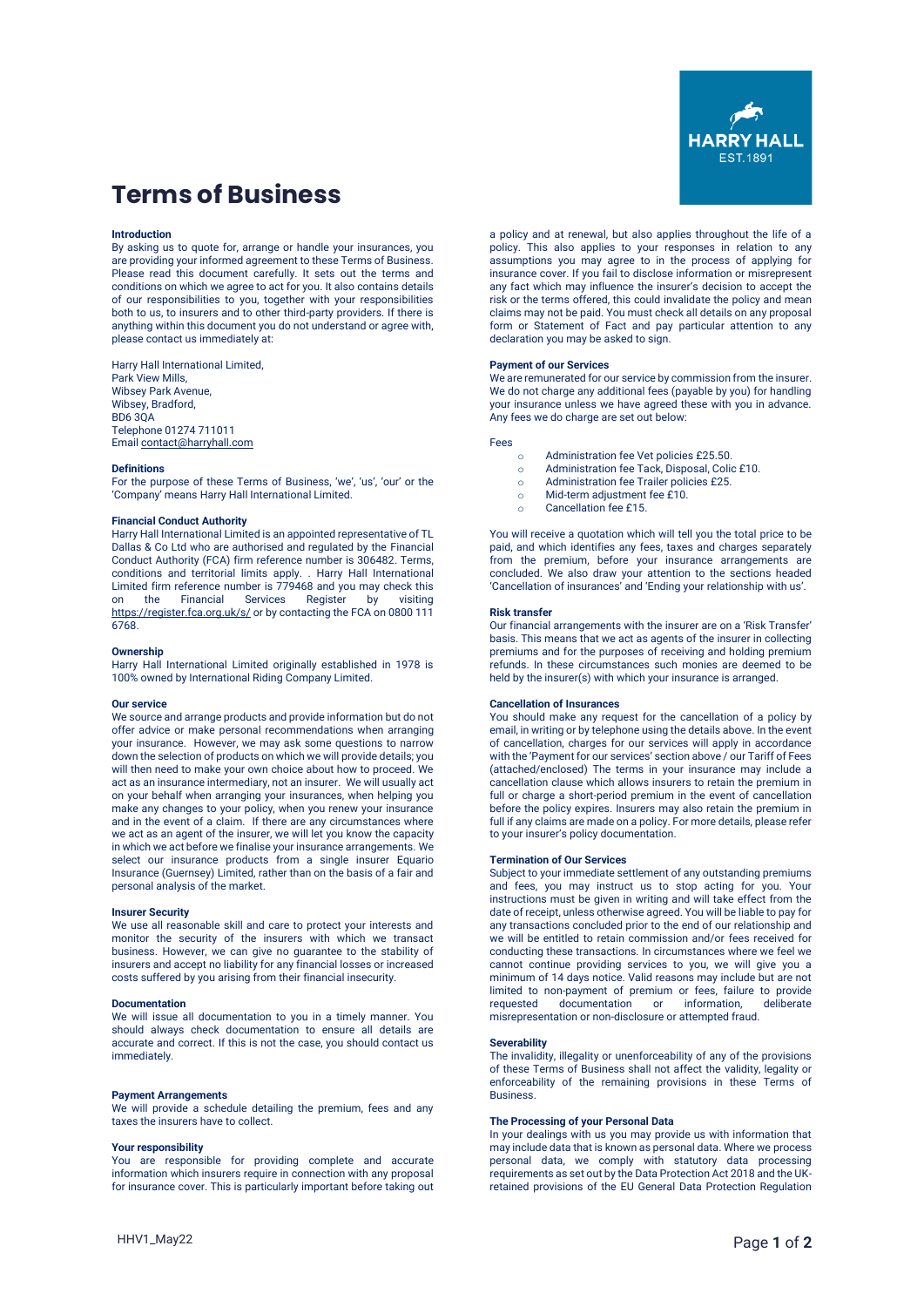# **Terms of Business**

### **Introduction**

By asking us to quote for, arrange or handle your insurances, you are providing your informed agreement to these Terms of Business. Please read this document carefully. It sets out the terms and conditions on which we agree to act for you. It also contains details of our responsibilities to you, together with your responsibilities both to us, to insurers and to other third-party providers. If there is anything within this document you do not understand or agree with, please contact us immediately at:

Harry Hall International Limited, Park View Mills, Wibsey Park Avenue, Wibsey, Bradford, BD6 3QA Telephone 01274 711011 Email contact@harryhall.com

## **Definitions**

For the purpose of these Terms of Business, 'we', 'us', 'our' or the 'Company' means Harry Hall International Limited.

## **Financial Conduct Authority**

Harry Hall International Limited is an appointed representative of TL Dallas & Co Ltd who are authorised and regulated by the Financial Conduct Authority (FCA) firm reference number is 306482. Terms, conditions and territorial limits apply. . Harry Hall International Limited firm reference number is 779468 and you may check this on the Financial Services Register by visiting https://register.fca.org.uk/s/ or by contacting the FCA on 0800 111 6768.

## **Ownership**

Harry Hall International Limited originally established in 1978 is 100% owned by International Riding Company Limited.

## **Our service**

We source and arrange products and provide information but do not offer advice or make personal recommendations when arranging your insurance. However, we may ask some questions to narrow down the selection of products on which we will provide details; you will then need to make your own choice about how to proceed. We act as an insurance intermediary, not an insurer. We will usually act on your behalf when arranging your insurances, when helping you make any changes to your policy, when you renew your insurance and in the event of a claim. If there are any circumstances where we act as an agent of the insurer, we will let you know the capacity in which we act before we finalise your insurance arrangements. We select our insurance products from a single insurer Equario Insurance (Guernsey) Limited, rather than on the basis of a fair and personal analysis of the market.

## **Insurer Security**

We use all reasonable skill and care to protect your interests and monitor the security of the insurers with which we transact business. However, we can give no guarantee to the stability of insurers and accept no liability for any financial losses or increased costs suffered by you arising from their financial insecurity.

#### **Documentation**

We will issue all documentation to you in a timely manner. You should always check documentation to ensure all details are accurate and correct. If this is not the case, you should contact us immediately.

## **Payment Arrangements**

We will provide a schedule detailing the premium, fees and any taxes the insurers have to collect.

## **Your responsibility**

You are responsible for providing complete and accurate information which insurers require in connection with any proposal for insurance cover. This is particularly important before taking out

a policy and at renewal, but also applies throughout the life of a policy. This also applies to your responses in relation to any assumptions you may agree to in the process of applying for insurance cover. If you fail to disclose information or misrepresent any fact which may influence the insurer's decision to accept the risk or the terms offered, this could invalidate the policy and mean claims may not be paid. You must check all details on any proposal form or Statement of Fact and pay particular attention to any declaration you may be asked to sign.

## **Payment of our Services**

We are remunerated for our service by commission from the insurer. We do not charge any additional fees (payable by you) for handling your insurance unless we have agreed these with you in advance. Any fees we do charge are set out below:

#### Fees

- o Administration fee Vet policies £25.50.
- o Administration fee Tack, Disposal, Colic £10.
- o Administration fee Trailer policies £25.
- o Mid-term adjustment fee £10.
- Cancellation fee £15.

You will receive a quotation which will tell you the total price to be paid, and which identifies any fees, taxes and charges separately from the premium, before your insurance arrangements are concluded. We also draw your attention to the sections headed 'Cancellation of insurances' and 'Ending your relationship with us'.

#### **Risk transfer**

Our financial arrangements with the insurer are on a 'Risk Transfer' basis. This means that we act as agents of the insurer in collecting premiums and for the purposes of receiving and holding premium refunds. In these circumstances such monies are deemed to be held by the insurer(s) with which your insurance is arranged.

### **Cancellation of Insurances**

You should make any request for the cancellation of a policy by email, in writing or by telephone using the details above. In the event of cancellation, charges for our services will apply in accordance with the 'Payment for our services' section above / our Tariff of Fees (attached/enclosed) The terms in your insurance may include a cancellation clause which allows insurers to retain the premium in full or charge a short-period premium in the event of cancellation before the policy expires. Insurers may also retain the premium in full if any claims are made on a policy. For more details, please refer to your insurer's policy documentation.

## **Termination of Our Services**

Subject to your immediate settlement of any outstanding premiums and fees, you may instruct us to stop acting for you. Your instructions must be given in writing and will take effect from the date of receipt, unless otherwise agreed. You will be liable to pay for any transactions concluded prior to the end of our relationship and we will be entitled to retain commission and/or fees received for conducting these transactions. In circumstances where we feel we cannot continue providing services to you, we will give you a minimum of 14 days notice. Valid reasons may include but are not limited to non-payment of premium or fees, failure to provide requested documentation or information, deliberate misrepresentation or non-disclosure or attempted fraud.

## **Severability**

The invalidity, illegality or unenforceability of any of the provisions of these Terms of Business shall not affect the validity, legality or enforceability of the remaining provisions in these Terms of Business.

# **The Processing of your Personal Data**

In your dealings with us you may provide us with information that may include data that is known as personal data. Where we process personal data, we comply with statutory data processing requirements as set out by the Data Protection Act 2018 and the UKretained provisions of the EU General Data Protection Regulation